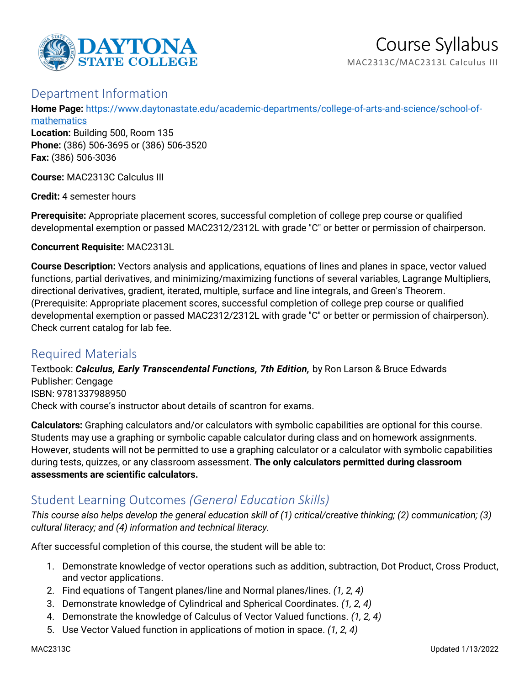

## Department Information

**Home Page:** [https://www.daytonastate.edu/academic-departments/college-of-arts-and-science/school-of](https://www.daytonastate.edu/academic-departments/college-of-arts-and-science/school-of-mathematics)**[mathematics](https://www.daytonastate.edu/academic-departments/college-of-arts-and-science/school-of-mathematics)** 

**Location:** Building 500, Room 135 **Phone:** (386) 506-3695 or (386) 506-3520 **Fax:** (386) 506-3036

**Course:** MAC2313C Calculus III

**Credit:** 4 semester hours

**Prerequisite:** Appropriate placement scores, successful completion of college prep course or qualified developmental exemption or passed MAC2312/2312L with grade "C" or better or permission of chairperson.

**Concurrent Requisite:** MAC2313L

**Course Description:** Vectors analysis and applications, equations of lines and planes in space, vector valued functions, partial derivatives, and minimizing/maximizing functions of several variables, Lagrange Multipliers, directional derivatives, gradient, iterated, multiple, surface and line integrals, and Green's Theorem. (Prerequisite: Appropriate placement scores, successful completion of college prep course or qualified developmental exemption or passed MAC2312/2312L with grade "C" or better or permission of chairperson). Check current catalog for lab fee.

# Required Materials

Textbook: *Calculus, Early Transcendental Functions, 7th Edition,* by Ron Larson & Bruce Edwards Publisher: Cengage ISBN: 9781337988950 Check with course's instructor about details of scantron for exams.

**Calculators:** Graphing calculators and/or calculators with symbolic capabilities are optional for this course. Students may use a graphing or symbolic capable calculator during class and on homework assignments. However, students will not be permitted to use a graphing calculator or a calculator with symbolic capabilities during tests, quizzes, or any classroom assessment. **The only calculators permitted during classroom assessments are scientific calculators.**

# Student Learning Outcomes *(General Education Skills)*

*This course also helps develop the general education skill of (1) critical/creative thinking; (2) communication; (3) cultural literacy; and (4) information and technical literacy.*

After successful completion of this course, the student will be able to:

- 1. Demonstrate knowledge of vector operations such as addition, subtraction, Dot Product, Cross Product, and vector applications.
- 2. Find equations of Tangent planes/line and Normal planes/lines. *(1, 2, 4)*
- 3. Demonstrate knowledge of Cylindrical and Spherical Coordinates. *(1, 2, 4)*
- 4. Demonstrate the knowledge of Calculus of Vector Valued functions. *(1, 2, 4)*
- 5. Use Vector Valued function in applications of motion in space. *(1, 2, 4)*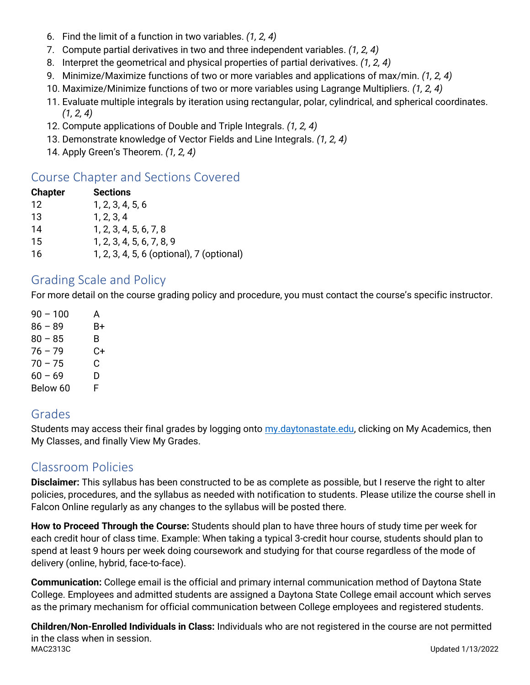- 6. Find the limit of a function in two variables. *(1, 2, 4)*
- 7. Compute partial derivatives in two and three independent variables. *(1, 2, 4)*
- 8. Interpret the geometrical and physical properties of partial derivatives. *(1, 2, 4)*
- 9. Minimize/Maximize functions of two or more variables and applications of max/min. *(1, 2, 4)*
- 10. Maximize/Minimize functions of two or more variables using Lagrange Multipliers. *(1, 2, 4)*
- 11. Evaluate multiple integrals by iteration using rectangular, polar, cylindrical, and spherical coordinates. *(1, 2, 4)*
- 12. Compute applications of Double and Triple Integrals. *(1, 2, 4)*
- 13. Demonstrate knowledge of Vector Fields and Line Integrals. *(1, 2, 4)*
- 14. Apply Green's Theorem. *(1, 2, 4)*

# Course Chapter and Sections Covered

| <b>Chapter</b> | <b>Sections</b>                           |
|----------------|-------------------------------------------|
| 12             | 1, 2, 3, 4, 5, 6                          |
| 13             | 1, 2, 3, 4                                |
| 14             | 1, 2, 3, 4, 5, 6, 7, 8                    |
| 15             | 1, 2, 3, 4, 5, 6, 7, 8, 9                 |
| 16             | 1, 2, 3, 4, 5, 6 (optional), 7 (optional) |

## Grading Scale and Policy

For more detail on the course grading policy and procedure, you must contact the course's specific instructor.

 $90 - 100$  A  $86 - 89$  B+  $80 - 85$  B 76 – 79 C+  $70 - 75$  C  $60 - 69$  D Below 60 F

## Grades

Students may access their final grades by logging onto [my.daytonastate.edu,](https://my.daytonastate.edu/) clicking on My Academics, then My Classes, and finally View My Grades.

# Classroom Policies

**Disclaimer:** This syllabus has been constructed to be as complete as possible, but I reserve the right to alter policies, procedures, and the syllabus as needed with notification to students. Please utilize the course shell in Falcon Online regularly as any changes to the syllabus will be posted there.

**How to Proceed Through the Course:** Students should plan to have three hours of study time per week for each credit hour of class time. Example: When taking a typical 3-credit hour course, students should plan to spend at least 9 hours per week doing coursework and studying for that course regardless of the mode of delivery (online, hybrid, face-to-face).

**Communication:** College email is the official and primary internal communication method of Daytona State College. Employees and admitted students are assigned a Daytona State College email account which serves as the primary mechanism for official communication between College employees and registered students.

MAC2313C Updated 1/13/2022 **Children/Non-Enrolled Individuals in Class:** Individuals who are not registered in the course are not permitted in the class when in session.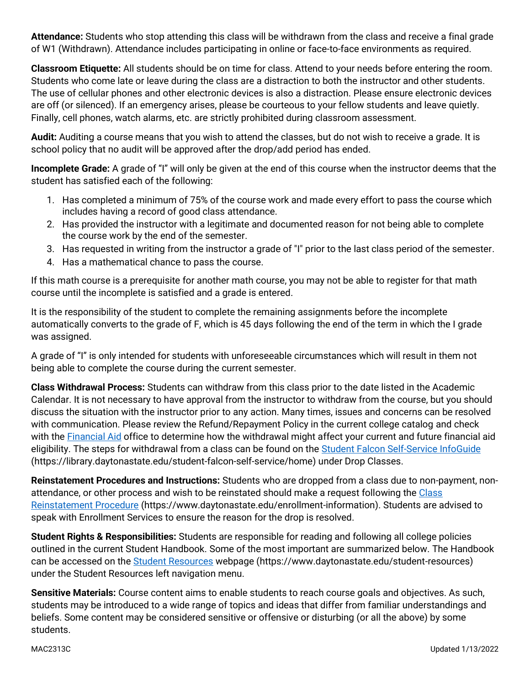**Attendance:** Students who stop attending this class will be withdrawn from the class and receive a final grade of W1 (Withdrawn). Attendance includes participating in online or face-to-face environments as required.

**Classroom Etiquette:** All students should be on time for class. Attend to your needs before entering the room. Students who come late or leave during the class are a distraction to both the instructor and other students. The use of cellular phones and other electronic devices is also a distraction. Please ensure electronic devices are off (or silenced). If an emergency arises, please be courteous to your fellow students and leave quietly. Finally, cell phones, watch alarms, etc. are strictly prohibited during classroom assessment.

**Audit:** Auditing a course means that you wish to attend the classes, but do not wish to receive a grade. It is school policy that no audit will be approved after the drop/add period has ended.

**Incomplete Grade:** A grade of "I" will only be given at the end of this course when the instructor deems that the student has satisfied each of the following:

- 1. Has completed a minimum of 75% of the course work and made every effort to pass the course which includes having a record of good class attendance.
- 2. Has provided the instructor with a legitimate and documented reason for not being able to complete the course work by the end of the semester.
- 3. Has requested in writing from the instructor a grade of "I" prior to the last class period of the semester.
- 4. Has a mathematical chance to pass the course.

If this math course is a prerequisite for another math course, you may not be able to register for that math course until the incomplete is satisfied and a grade is entered.

It is the responsibility of the student to complete the remaining assignments before the incomplete automatically converts to the grade of F, which is 45 days following the end of the term in which the I grade was assigned.

A grade of "I" is only intended for students with unforeseeable circumstances which will result in them not being able to complete the course during the current semester.

**Class Withdrawal Process:** Students can withdraw from this class prior to the date listed in the Academic Calendar. It is not necessary to have approval from the instructor to withdraw from the course, but you should discuss the situation with the instructor prior to any action. Many times, issues and concerns can be resolved with communication. Please review the Refund/Repayment Policy in the current college catalog and check with the [Financial Aid](https://www.daytonastate.edu/financial-aid) office to determine how the withdrawal might affect your current and future financial aid eligibility. The steps for withdrawal from a class can be found on the [Student Falcon Self-Service InfoGuide](https://library.daytonastate.edu/student-falcon-self-service/home) (https://library.daytonastate.edu/student-falcon-self-service/home) under Drop Classes.

**Reinstatement Procedures and Instructions:** Students who are dropped from a class due to non-payment, nonattendance, or other process and wish to be reinstated should make a request following the [Class](https://www.daytonastate.edu/enrollment-information/index.html)  [Reinstatement Procedure](https://www.daytonastate.edu/enrollment-information/index.html) (https://www.daytonastate.edu/enrollment-information). Students are advised to speak with Enrollment Services to ensure the reason for the drop is resolved.

**Student Rights & Responsibilities:** Students are responsible for reading and following all college policies outlined in the current Student Handbook. Some of the most important are summarized below. The Handbook can be accessed on the [Student Resources](https://www.daytonastate.edu/student-resources) webpage (https://www.daytonastate.edu/student-resources) under the Student Resources left navigation menu.

**Sensitive Materials:** Course content aims to enable students to reach course goals and objectives. As such, students may be introduced to a wide range of topics and ideas that differ from familiar understandings and beliefs. Some content may be considered sensitive or offensive or disturbing (or all the above) by some students.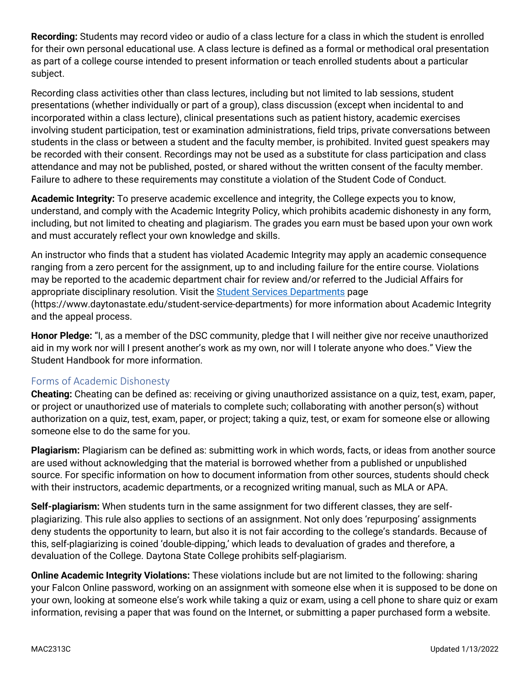**Recording:** Students may record video or audio of a class lecture for a class in which the student is enrolled for their own personal educational use. A class lecture is defined as a formal or methodical oral presentation as part of a college course intended to present information or teach enrolled students about a particular subject.

Recording class activities other than class lectures, including but not limited to lab sessions, student presentations (whether individually or part of a group), class discussion (except when incidental to and incorporated within a class lecture), clinical presentations such as patient history, academic exercises involving student participation, test or examination administrations, field trips, private conversations between students in the class or between a student and the faculty member, is prohibited. Invited guest speakers may be recorded with their consent. Recordings may not be used as a substitute for class participation and class attendance and may not be published, posted, or shared without the written consent of the faculty member. Failure to adhere to these requirements may constitute a violation of the Student Code of Conduct.

**Academic Integrity:** To preserve academic excellence and integrity, the College expects you to know, understand, and comply with the Academic Integrity Policy, which prohibits academic dishonesty in any form, including, but not limited to cheating and plagiarism. The grades you earn must be based upon your own work and must accurately reflect your own knowledge and skills.

An instructor who finds that a student has violated Academic Integrity may apply an academic consequence ranging from a zero percent for the assignment, up to and including failure for the entire course. Violations may be reported to the academic department chair for review and/or referred to the Judicial Affairs for appropriate disciplinary resolution. Visit the [Student Services Departments](https://www.daytonastate.edu/student-service-departments) page (https://www.daytonastate.edu/student-service-departments) for more information about Academic Integrity and the appeal process.

**Honor Pledge:** "I, as a member of the DSC community, pledge that I will neither give nor receive unauthorized aid in my work nor will I present another's work as my own, nor will I tolerate anyone who does." View the Student Handbook for more information.

### Forms of Academic Dishonesty

**Cheating:** Cheating can be defined as: receiving or giving unauthorized assistance on a quiz, test, exam, paper, or project or unauthorized use of materials to complete such; collaborating with another person(s) without authorization on a quiz, test, exam, paper, or project; taking a quiz, test, or exam for someone else or allowing someone else to do the same for you.

**Plagiarism:** Plagiarism can be defined as: submitting work in which words, facts, or ideas from another source are used without acknowledging that the material is borrowed whether from a published or unpublished source. For specific information on how to document information from other sources, students should check with their instructors, academic departments, or a recognized writing manual, such as MLA or APA.

**Self-plagiarism:** When students turn in the same assignment for two different classes, they are selfplagiarizing. This rule also applies to sections of an assignment. Not only does 'repurposing' assignments deny students the opportunity to learn, but also it is not fair according to the college's standards. Because of this, self-plagiarizing is coined 'double-dipping,' which leads to devaluation of grades and therefore, a devaluation of the College. Daytona State College prohibits self-plagiarism.

**Online Academic Integrity Violations:** These violations include but are not limited to the following: sharing your Falcon Online password, working on an assignment with someone else when it is supposed to be done on your own, looking at someone else's work while taking a quiz or exam, using a cell phone to share quiz or exam information, revising a paper that was found on the Internet, or submitting a paper purchased form a website.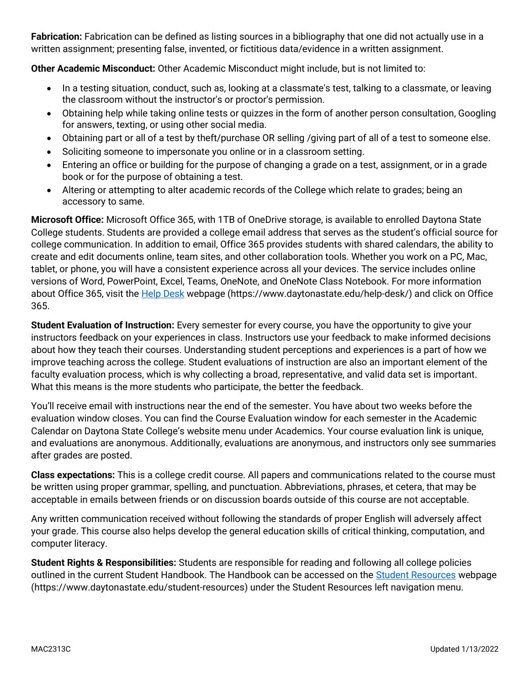**Fabrication:** Fabrication can be defined as listing sources in a bibliography that one did not actually use in a written assignment; presenting false, invented, or fictitious data/evidence in a written assignment.

**Other Academic Misconduct:** Other Academic Misconduct might include, but is not limited to:

- In a testing situation, conduct, such as, looking at a classmate's test, talking to a classmate, or leaving the classroom without the instructor's or proctor's permission.
- Obtaining help while taking online tests or quizzes in the form of another person consultation, Googling for answers, texting, or using other social media.
- Obtaining part or all of a test by theft/purchase OR selling /giving part of all of a test to someone else.
- Soliciting someone to impersonate you online or in a classroom setting.
- Entering an office or building for the purpose of changing a grade on a test, assignment, or in a grade book or for the purpose of obtaining a test.
- Altering or attempting to alter academic records of the College which relate to grades; being an accessory to same.

**Microsoft Office:** Microsoft Office 365, with 1TB of OneDrive storage, is available to enrolled Daytona State College students. Students are provided a college email address that serves as the student's official source for college communication. In addition to email, Office 365 provides students with shared calendars, the ability to create and edit documents online, team sites, and other collaboration tools. Whether you work on a PC, Mac, tablet, or phone, you will have a consistent experience across all your devices. The service includes online versions of Word, PowerPoint, Excel, Teams, OneNote, and OneNote Class Notebook. For more information about Office 365, visit the [Help Desk](https://www.daytonastate.edu/help-desk/) webpage (https://www.daytonastate.edu/help-desk/) and click on Office 365.

**Student Evaluation of Instruction:** Every semester for every course, you have the opportunity to give your instructors feedback on your experiences in class. Instructors use your feedback to make informed decisions about how they teach their courses. Understanding student perceptions and experiences is a part of how we improve teaching across the college. Student evaluations of instruction are also an important element of the faculty evaluation process, which is why collecting a broad, representative, and valid data set is important. What this means is the more students who participate, the better the feedback.

You'll receive email with instructions near the end of the semester. You have about two weeks before the evaluation window closes. You can find the Course Evaluation window for each semester in the Academic Calendar on Daytona State College's website menu under Academics. Your course evaluation link is unique, and evaluations are anonymous. Additionally, evaluations are anonymous, and instructors only see summaries after grades are posted.

**Class expectations:** This is a college credit course. All papers and communications related to the course must be written using proper grammar, spelling, and punctuation. Abbreviations, phrases, et cetera, that may be acceptable in emails between friends or on discussion boards outside of this course are not acceptable.

Any written communication received without following the standards of proper English will adversely affect your grade. This course also helps develop the general education skills of critical thinking, computation, and computer literacy.

**Student Rights & Responsibilities:** Students are responsible for reading and following all college policies outlined in the current Student Handbook. The Handbook can be accessed on the [Student Resources](https://www.daytonastate.edu/student-resources) webpage (https://www.daytonastate.edu/student-resources) under the Student Resources left navigation menu.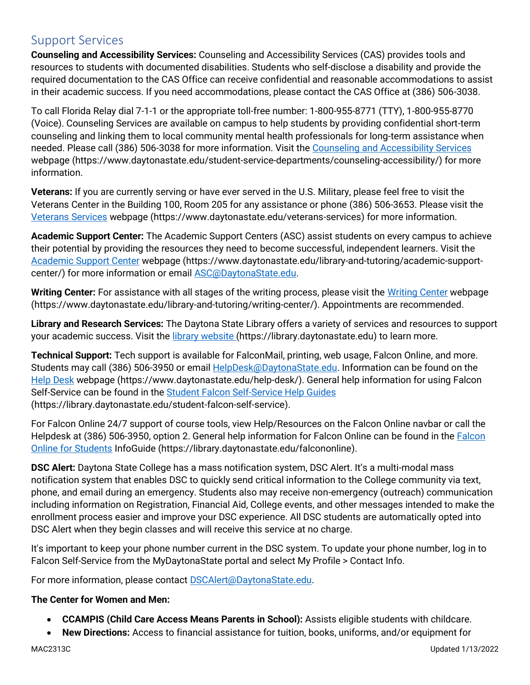### Support Services

**Counseling and Accessibility Services:** Counseling and Accessibility Services (CAS) provides tools and resources to students with documented disabilities. Students who self-disclose a disability and provide the required documentation to the CAS Office can receive confidential and reasonable accommodations to assist in their academic success. If you need accommodations, please contact the CAS Office at (386) 506-3038.

To call Florida Relay dial 7-1-1 or the appropriate toll-free number: 1-800-955-8771 (TTY), 1-800-955-8770 (Voice). Counseling Services are available on campus to help students by providing confidential short-term counseling and linking them to local community mental health professionals for long-term assistance when needed. Please call (386) 506-3038 for more information. Visit the [Counseling and Accessibility Services](https://www.daytonastate.edu/student-service-departments/counseling-accessibility/) webpage (https://www.daytonastate.edu/student-service-departments/counseling-accessibility/) for more information.

**Veterans:** If you are currently serving or have ever served in the U.S. Military, please feel free to visit the Veterans Center in the Building 100, Room 205 for any assistance or phone (386) 506-3653. Please visit the [Veterans Services](https://www.daytonastate.edu/veterans-services) webpage (https://www.daytonastate.edu/veterans-services) for more information.

**Academic Support Center:** The Academic Support Centers (ASC) assist students on every campus to achieve their potential by providing the resources they need to become successful, independent learners. Visit the [Academic Support Center](https://www.daytonastate.edu/library-and-tutoring/academic-support-center/index.html) webpage (https://www.daytonastate.edu/library-and-tutoring/academic-supportcenter/) for more information or email [ASC@DaytonaState.edu.](mailto:ASC@DaytonaState.edu)

**Writing Center:** For assistance with all stages of the writing process, please visit the [Writing Center](https://www.daytonastate.edu/library-and-tutoring/writing-center/) webpage (https://www.daytonastate.edu/library-and-tutoring/writing-center/). Appointments are recommended.

**Library and Research Services:** The Daytona State Library offers a variety of services and resources to support your academic success. Visit the [library website \(](https://library.daytonastate.edu/index)https://library.daytonastate.edu) to learn more.

**Technical Support:** Tech support is available for FalconMail, printing, web usage, Falcon Online, and more. Students may call (386) 506-3950 or email [HelpDesk@DaytonaState.edu.](mailto:HelpDesk@DaytonaState.edu) Information can be found on the [Help Desk](https://www.daytonastate.edu/help-desk/) webpage (https://www.daytonastate.edu/help-desk/). General help information for using Falcon Self-Service can be found in the [Student Falcon Self-Service Help Guides](https://library.daytonastate.edu/student-falcon-self-service) (https://library.daytonastate.edu/student-falcon-self-service).

For Falcon Online 24/7 support of course tools, view Help/Resources on the Falcon Online navbar or call the Helpdesk at (386) 506-3950, option 2. General help information for [Falcon](https://library.daytonastate.edu/falcononline) Online can be found in the Falcon [Online for Students](https://library.daytonastate.edu/falcononline) InfoGuide (https://library.daytonastate.edu/falcononline).

**DSC Alert:** Daytona State College has a mass notification system, DSC Alert. It's a multi-modal mass notification system that enables DSC to quickly send critical information to the College community via text, phone, and email during an emergency. Students also may receive non-emergency (outreach) communication including information on Registration, Financial Aid, College events, and other messages intended to make the enrollment process easier and improve your DSC experience. All DSC students are automatically opted into DSC Alert when they begin classes and will receive this service at no charge.

It's important to keep your phone number current in the DSC system. To update your phone number, log in to Falcon Self-Service from the MyDaytonaState portal and select My Profile > Contact Info.

For more information, please contact **DSCAlert@DaytonaState.edu**.

### **The Center for Women and Men:**

- **CCAMPIS (Child Care Access Means Parents in School):** Assists eligible students with childcare.
- **New Directions:** Access to financial assistance for tuition, books, uniforms, and/or equipment for